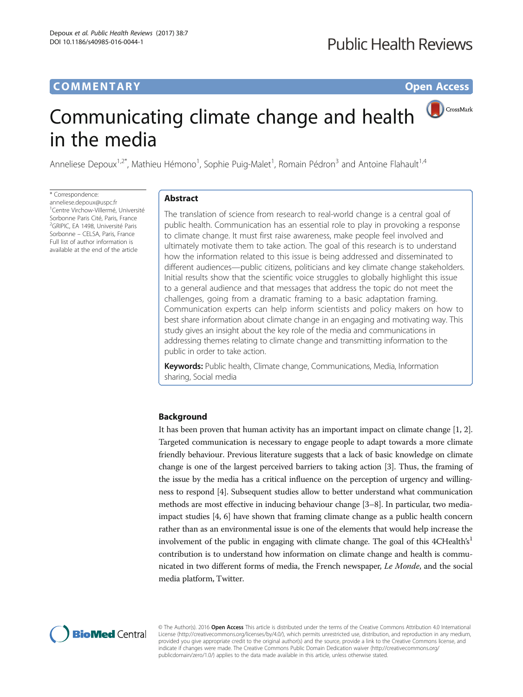# **COMMENTARY COMMENTARY Open Access**

CrossMark

# Communicating climate change and health in the media

Anneliese Depoux<sup>1,2\*</sup>, Mathieu Hémono<sup>1</sup>, Sophie Puig-Malet<sup>1</sup>, Romain Pédron<sup>3</sup> and Antoine Flahault<sup>1,4</sup>

\* Correspondence: [anneliese.depoux@uspc.fr](mailto:anneliese.depoux@uspc.fr) 1 Centre Virchow-Villermé, Université Sorbonne Paris Cité, Paris, France <sup>2</sup>GRIPIC, EA 1498, Université Paris Sorbonne – CELSA, Paris, France Full list of author information is available at the end of the article

# Abstract

The translation of science from research to real-world change is a central goal of public health. Communication has an essential role to play in provoking a response to climate change. It must first raise awareness, make people feel involved and ultimately motivate them to take action. The goal of this research is to understand how the information related to this issue is being addressed and disseminated to different audiences—public citizens, politicians and key climate change stakeholders. Initial results show that the scientific voice struggles to globally highlight this issue to a general audience and that messages that address the topic do not meet the challenges, going from a dramatic framing to a basic adaptation framing. Communication experts can help inform scientists and policy makers on how to best share information about climate change in an engaging and motivating way. This study gives an insight about the key role of the media and communications in addressing themes relating to climate change and transmitting information to the public in order to take action.

Keywords: Public health, Climate change, Communications, Media, Information sharing, Social media

# Background

It has been proven that human activity has an important impact on climate change [[1, 2](#page-3-0)]. Targeted communication is necessary to engage people to adapt towards a more climate friendly behaviour. Previous literature suggests that a lack of basic knowledge on climate change is one of the largest perceived barriers to taking action [\[3\]](#page-3-0). Thus, the framing of the issue by the media has a critical influence on the perception of urgency and willingness to respond [\[4](#page-3-0)]. Subsequent studies allow to better understand what communication methods are most effective in inducing behaviour change [[3](#page-3-0)–[8](#page-3-0)]. In particular, two mediaimpact studies [\[4, 6\]](#page-3-0) have shown that framing climate change as a public health concern rather than as an environmental issue is one of the elements that would help increase the involvement of the public in engaging with climate change. The goal of this 4CHealth's<sup>1</sup> contribution is to understand how information on climate change and health is communicated in two different forms of media, the French newspaper, Le Monde, and the social media platform, Twitter.



© The Author(s). 2016 Open Access This article is distributed under the terms of the Creative Commons Attribution 4.0 International License ([http://creativecommons.org/licenses/by/4.0/\)](http://creativecommons.org/licenses/by/4.0/), which permits unrestricted use, distribution, and reproduction in any medium, provided you give appropriate credit to the original author(s) and the source, provide a link to the Creative Commons license, and indicate if changes were made. The Creative Commons Public Domain Dedication waiver ([http://creativecommons.org/](http://creativecommons.org/publicdomain/zero/1.0/) [publicdomain/zero/1.0/\)](http://creativecommons.org/publicdomain/zero/1.0/) applies to the data made available in this article, unless otherwise stated.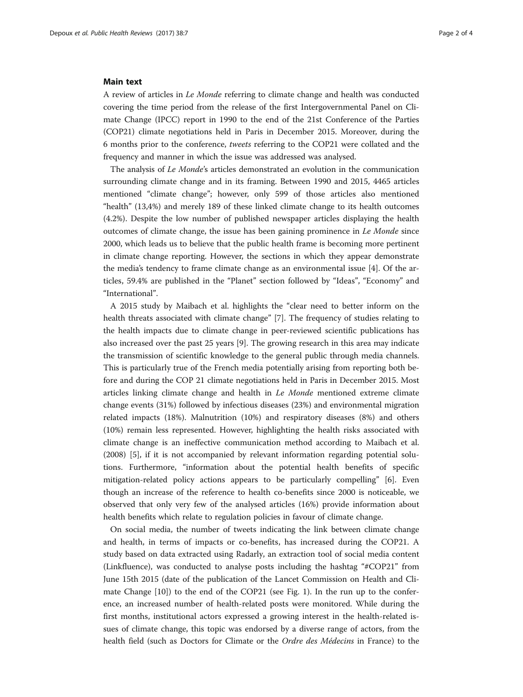## Main text

A review of articles in Le Monde referring to climate change and health was conducted covering the time period from the release of the first Intergovernmental Panel on Climate Change (IPCC) report in 1990 to the end of the 21st Conference of the Parties (COP21) climate negotiations held in Paris in December 2015. Moreover, during the 6 months prior to the conference, tweets referring to the COP21 were collated and the frequency and manner in which the issue was addressed was analysed.

The analysis of Le Monde's articles demonstrated an evolution in the communication surrounding climate change and in its framing. Between 1990 and 2015, 4465 articles mentioned "climate change"; however, only 599 of those articles also mentioned "health" (13,4%) and merely 189 of these linked climate change to its health outcomes (4.2%). Despite the low number of published newspaper articles displaying the health outcomes of climate change, the issue has been gaining prominence in  $Le$  Monde since 2000, which leads us to believe that the public health frame is becoming more pertinent in climate change reporting. However, the sections in which they appear demonstrate the media's tendency to frame climate change as an environmental issue [[4\]](#page-3-0). Of the articles, 59.4% are published in the "Planet" section followed by "Ideas", "Economy" and "International".

A 2015 study by Maibach et al. highlights the "clear need to better inform on the health threats associated with climate change" [\[7](#page-3-0)]. The frequency of studies relating to the health impacts due to climate change in peer-reviewed scientific publications has also increased over the past 25 years [[9\]](#page-3-0). The growing research in this area may indicate the transmission of scientific knowledge to the general public through media channels. This is particularly true of the French media potentially arising from reporting both before and during the COP 21 climate negotiations held in Paris in December 2015. Most articles linking climate change and health in Le Monde mentioned extreme climate change events (31%) followed by infectious diseases (23%) and environmental migration related impacts (18%). Malnutrition (10%) and respiratory diseases (8%) and others (10%) remain less represented. However, highlighting the health risks associated with climate change is an ineffective communication method according to Maibach et al. (2008) [[5\]](#page-3-0), if it is not accompanied by relevant information regarding potential solutions. Furthermore, "information about the potential health benefits of specific mitigation-related policy actions appears to be particularly compelling" [\[6](#page-3-0)]. Even though an increase of the reference to health co-benefits since 2000 is noticeable, we observed that only very few of the analysed articles (16%) provide information about health benefits which relate to regulation policies in favour of climate change.

On social media, the number of tweets indicating the link between climate change and health, in terms of impacts or co-benefits, has increased during the COP21. A study based on data extracted using Radarly, an extraction tool of social media content (Linkfluence), was conducted to analyse posts including the hashtag "#COP21" from June 15th 2015 (date of the publication of the Lancet Commission on Health and Climate Change [\[10\]](#page-3-0)) to the end of the COP21 (see Fig. [1\)](#page-2-0). In the run up to the conference, an increased number of health-related posts were monitored. While during the first months, institutional actors expressed a growing interest in the health-related issues of climate change, this topic was endorsed by a diverse range of actors, from the health field (such as Doctors for Climate or the Ordre des Médecins in France) to the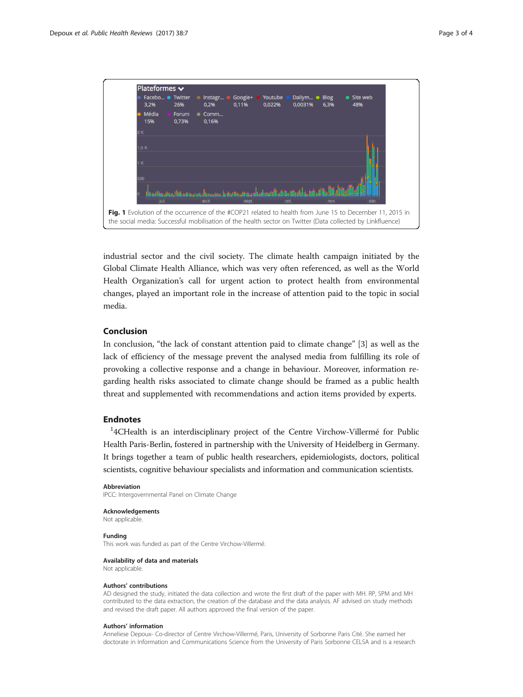<span id="page-2-0"></span>

industrial sector and the civil society. The climate health campaign initiated by the Global Climate Health Alliance, which was very often referenced, as well as the World Health Organization's call for urgent action to protect health from environmental changes, played an important role in the increase of attention paid to the topic in social media.

# Conclusion

In conclusion, "the lack of constant attention paid to climate change" [[3\]](#page-3-0) as well as the lack of efficiency of the message prevent the analysed media from fulfilling its role of provoking a collective response and a change in behaviour. Moreover, information regarding health risks associated to climate change should be framed as a public health threat and supplemented with recommendations and action items provided by experts.

# Endnotes

<sup>1</sup>4CHealth is an interdisciplinary project of the Centre Virchow-Villermé for Public Health Paris-Berlin, fostered in partnership with the University of Heidelberg in Germany. It brings together a team of public health researchers, epidemiologists, doctors, political scientists, cognitive behaviour specialists and information and communication scientists.

#### Abbreviation

IPCC: Intergovernmental Panel on Climate Change

#### Acknowledgements

Not applicable.

#### Funding

This work was funded as part of the Centre Virchow-Villermé.

# Availability of data and materials

Not applicable.

#### Authors' contributions

AD designed the study, initiated the data collection and wrote the first draft of the paper with MH. RP, SPM and MH contributed to the data extraction, the creation of the database and the data analysis. AF advised on study methods and revised the draft paper. All authors approved the final version of the paper.

#### Authors' information

Anneliese Depoux- Co-director of Centre Virchow-Villermé, Paris, University of Sorbonne Paris Cité. She earned her doctorate in Information and Communications Science from the University of Paris Sorbonne CELSA and is a research